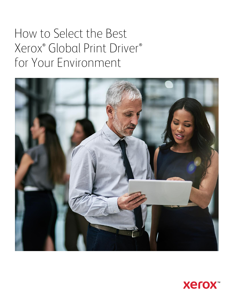# How to Select the Best Xerox<sup>®</sup> Global Print Driver® for Your Environment



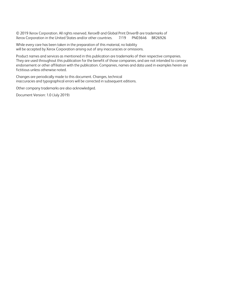© 2019 Xerox Corporation. All rights reserved. Xerox® and Global Print Driver® are trademarks of Xerox Corporation in the United States and/or other countries. 7/19 PN03646 BR26926

While every care has been taken in the preparation of this material, no liability will be accepted by Xerox Corporation arising out of any inaccuracies or omissions.

Product names and services as mentioned in this publication are trademarks of their respective companies. They are used throughout this publication for the benefit of those companies, and are not intended to convey endorsement or other affiliation with the publication. Companies, names and data used in examples herein are fictitious unless otherwise noted.

Changes are periodically made to this document. Changes, technical inaccuracies and typographical errors will be corrected in subsequent editions.

Other company trademarks are also acknowledged.

Document Version: 1.0 (July 2019)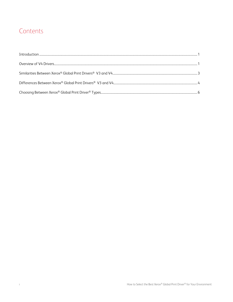## Contents

 $\dot{\mathbf{I}}$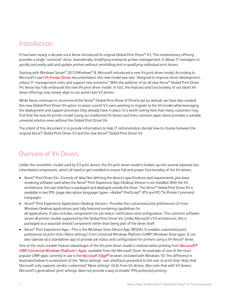#### <span id="page-3-0"></span>Introduction

It has been nearly a decade since Xerox introduced its original Global Print Driver® V3. This revolutionary offering provides a single "universal" driver, dramatically simplifying enterprise printer management. It allows IT managers to quickly and easily add and update printers without reinstalling and re-qualifying individual print drivers.

Starting with Windows Server® 2012/Windows® 8, Microsoft introduced a new V4 print driver model. According to Microsoft's own [V4 Printer Driver](https://docs.microsoft.com/en-us/windows-hardware/drivers/print/v4-printer-driver) documentation, this new model was also "designed to improve driver development, reduce IT management costs, and support new scenarios". With the addition of an all new Xerox® Global Print Driver V4, Xerox has fully embraced this new V4 print driver model. In fact, the features and functionality of our latest V4 driver offerings now closely align to our world-class V3 drivers.

While Xerox continues to recommend the Xerox® Global Print Driver V3 PostScript by default, we have also created this new Global Print Driver V4 option to assist current V3 users wanting to migrate to the V4 model while leveraging the deployment and support processes they already have in place. It is worth noting here that many customers may find that the new V4 printer model (using our traditional V4 drivers and their common apps) alone provides a suitable universal solution even without the Global Print Driver V4.

The intent of this document is to provide information to help IT administrators decide how to choose between the original Xerox® Global Print Driver V3 and the new Xerox® Global Print Driver V4.

#### Overview of V4 Drivers

Unlike the monolithic model used by V3 print drivers, the V4 print driver model is broken up into several separate but interrelated components, which all need to get installed to ensure full and proper functionality of the V4 drivers.

- Xerox<sup>®</sup> Print Driver V4—Consists of data files defining the device's specifications and requirements, plus basic rendering software used when the Xerox® Print Experience App–Desktop Version is not installed. With the V4 architecture, the user interface is packaged and deployed outside the driver. The Xerox® Global Print Driver V4 is available in two PDL (page description language) types—Adobe® PostScript® (PS) and PCL®6 (Printer Command Language).
- Xerox® Print Experience Application–Desktop Version—Provides the customized print preferences UI from Windows Desktop applications and fully featured rendering capabilities for all applications. It also includes components for job status, notification and configuration. This common software serves all printer models supported by the Global Print Driver V4. Unlike Microsoft's V3 architecture, this is packaged as a separate shared component rather than being part of the driver itself.
- Xerox<sup>®</sup> Print Experience App—This is the Windows Store Device App (WSDA). It enables customized print preferences at print time ('More settings') from Universal Windows Platform (UWP) Windows Store apps. It can also operate as a standalone app to provide job status and configuration for printers using a V4 Xerox<sup>®</sup> driver.

One of the most notable feature advantages of the V4 print driver model is realized when printing from Microsoft<sup>®</sup> [UWP \(Universal Windows Platform \) Apps](https://docs.microsoft.com/en-us/windows/uwp/get-started/universal-application-platform-guide), available from the Microsoft Store. An example of one of the more popular UWP apps currently in use is the Microsoft Edge<sup>®</sup> browser, included with Windows 10. This difference is illustrated below in screenshots of the "More settings" user interfaces presented to the user at print time. Note that Microsoft only supports vendor-customized "More settings" GUIs from V4 drivers. Also note that with V3 drivers, Microsoft's generalized 'print settings' does not provide a way to enable 'PIN protected printing'.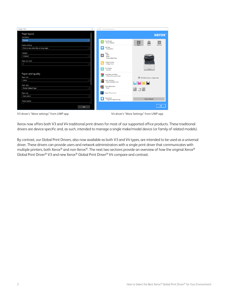| Google - Print                         | $\times$     |        | Google - Xerox Print Experience                   |                                                                                                |
|----------------------------------------|--------------|--------|---------------------------------------------------|------------------------------------------------------------------------------------------------|
| Page layout<br>Orientation             |              |        |                                                   | <b>Xerox</b>                                                                                   |
| Portrait<br>Duplex printing            | $\checkmark$ |        | <b>Print Presets</b><br><b>Driver Defaults</b>    | 르<br>巨<br>$\vert i \vert$<br><b>Status</b><br>Queue<br>Summary                                 |
| Print on two sides (flip on long edge) | $\checkmark$ | ÷      | Job Type<br>Normal Print                          |                                                                                                |
| Collation<br>Collated                  | $\checkmark$ | $\ast$ | Paper<br>Letter<br>White<br>Printer Default Type  |                                                                                                |
| Pages per sheet<br>$\mathbf{1}$        | $\checkmark$ |        | 2-Sided Printing<br>2-Sided Print                 |                                                                                                |
|                                        |              | €      | Print Quality<br>Standard                         |                                                                                                |
| Paper and quality<br>Paper size        |              |        | Xerox Black and White<br>Off (Use Document Color) | 016-425 Device is in sleep mode.                                                               |
| Letter                                 | $\checkmark$ |        | Color Correction<br>Xerox Automatic Color         | $\left \mathbb{Z}\right \left \mathbb{M}\right \left \mathbb{Y}\right \left \mathbb{X}\right $ |
| Paper type<br>Printer Default Type     | $\checkmark$ |        | Color Adjustments<br>None                         | 值 크闾                                                                                           |
| Paper tray                             |              | ł۰     | Image Enhancements                                |                                                                                                |
| Auto select                            | $\checkmark$ |        | Page Layout                                       | Show Details                                                                                   |
| Output quality<br><b>Tax</b><br>٠      | 1 v          |        | 1 Page Per Sheet (Normal)                         |                                                                                                |
| OK                                     |              |        |                                                   | OK                                                                                             |

V3 driver's "More settings" from UWP app V4 driver's "More Settings" from UWP app

Xerox now offers both V3 and V4 traditional print drivers for most of our supported office products. These traditional drivers are device-specific and, as such, intended to manage a single make/model device (or family of related models).

By contrast, our Global Print Drivers, also now available as both V3 and V4 types, are intended to be used as a universal driver. These drivers can provide users and network administrators with a single print driver that communicates with multiple printers, both Xerox® and non-Xerox®. The next two sections provide an overview of how the original Xerox® Global Print Driver® V3 and new Xerox® Global Print Driver® V4 compare and contrast.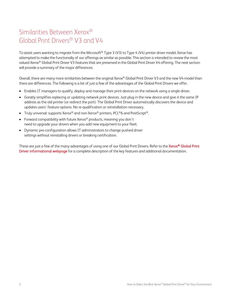## <span id="page-5-0"></span>Similarities Between Xerox® Global Print Drivers® V3 and V4

To assist users wanting to migrate from the Microsoft® Type 3 (V3) to Type 4 (V4) printer driver model, Xerox has attempted to make the functionally of our offerings as similar as possible. This section is intended to review the most valued Xerox® Global Print Driver V3 features that are preserved in the Global Print Driver V4 offering. The next section will provide a summary of the major differences.

Overall, there are many more similarities between the original Xerox® Global Print Driver V3 and the new V4 model than there are differences. The following is a list of just a few of the advantages of the Global Print Drivers we offer.

- Enables IT managers to qualify, deploy and manage their print devices on the network using a single driver.
- Greatly simplifies replacing or updating network print devices. Just plug in the new device and give it the same IP address as the old printer (or redirect the port). The Global Print Driver automatically discovers the device and updates users' feature options. No re-qualification or reinstallation necessary.
- Truly universal: supports Xerox® and non-Xerox® printers, PCL®6 and PostScript®.
- Forward compatibility with future Xerox® products, meaning you don't need to upgrade your drivers when you add new equipment to your fleet.
- Dynamic pre-configuration allows IT administrators to change pushed driver settings without reinstalling drivers or breaking certification.

These are just a few of the many advantages of using one of our Global Print Drivers. Refer to the Xerox® Global Print [Driver informational webpage](http://www.xerox.com/global) for a complete description of the key features and additional documentation.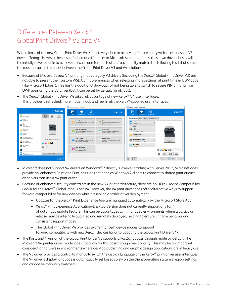# <span id="page-6-0"></span>Differences Between Xerox® Global Print Drivers® V3 and V4

With release of the new Global Print Driver V4, Xerox is very close to achieving feature parity with its established V3 driver offerings. However, because of inherent differences in Microsoft's printer models, these two driver classes will technically never be able to achieve an exact, one-for-one feature/functionality match. The following is a list of some of the most notable differences between the Global Print Driver V3 and V4 solutions:

• Because of Microsoft's new V4 printing model, legacy V3 drivers (including the Xerox® Global Print Driver V3) are not able to present their custom WSDA print preferences when selecting 'more settings' at print time in UWP apps (like Microsoft Edge®). This has the additional drawback of not being able to switch to secure PIN printing from UWP apps using the V3 driver (but it can be set by default for all jobs).



• The Xerox<sup>®</sup> Global Print Driver V4 takes full advantage of new Xerox<sup>®</sup> V4 user interfaces. This provides a refreshed, more modern look and feel in all the Xerox®-supplied user interfaces.

- Microsoft does not support V4 drivers on Windows® 7 directly. However, starting with Server 2012, Microsoft does provide an 'enhanced Point and Print' solution that enables Windows 7 clients to connect to shared print queues on servers that use a V4 print driver.
- Because of enhanced security constraints in the new V4 print architecture, there are no DCPs (Device Compatibility Packs) for the Xerox® Global Print Driver V4. However, the V4 print driver does offer alternative ways to support forward compatibility for new devices while preserving a stable driver deployment.
	- ‒ Updates for the Xerox® Print Experience App are managed automatically by the Microsoft Store App.
	- ‒ Xerox® Print Experience Application–Desktop Version does not currently support any form of automatic update feature. This can be advantageous in managed environments where a particular release may be internally qualified and remotely deployed, helping to ensure uniform behavior and consistent support models.
	- The Global Print Driver V4 provides two "enhanced" device modes to support forward compatibility with new Xerox® devices (prior to updating the Global Print Driver V4).
- The PostScript<sup>®</sup> version of the Global Print Driver V3 supports a PostScript pass-through mode by default. The Microsoft V4 printer driver model does not allow for this pass-through functionality. This may be an important consideration to users in environments where desktop publishing and graphic design applications are in heavy use.
- The V3 driver provides a control to manually switch the display language of the Xerox<sup>®</sup> print driver user interfaces. The V4 driver's display language is automatically set based solely on the client operating system's region settings and cannot be manually switched.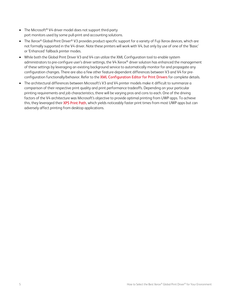- The Microsoft<sup>®</sup> V4 driver model does not support third-party port monitors used by some pull-print and accounting solutions.
- The Xerox® Global Print Driver® V3 provides product-specific support for a variety of Fuji Xerox devices, which are not formally supported in the V4 driver. Note these printers will work with V4, but only by use of one of the 'Basic' or 'Enhanced' fallback printer modes.
- While both the Global Print Driver V3 and V4 can utilize the XML Configuration tool to enable system administrators to pre-configure user's driver settings, the V4 Xerox® driver solution has enhanced the management of these settings by leveraging an existing background service to automatically monitor for and propagate any configuration changes. There are also a few other feature-dependent differences between V3 and V4 for preconfiguration functionally/behavior. Refer to the [XML Configuration Editor for Print Drivers](http://www.office.xerox.com/latest/SFTHT-01U.pdf) for complete details.
- The architectural differences between Microsoft's V3 and V4 printer models make it difficult to summarize a comparison of their respective print quality and print performance tradeoffs. Depending on your particular printing requirements and job characteristics, there will be varying pros and cons to each. One of the driving factors of the V4 architecture was Microsoft's objective to provide optimal printing from UWP apps. To achieve this, they leveraged their [XPS Print Path,](https://docs.microsoft.com/en-us/dotnet/framework/wpf/advanced/printing-overview#xps-print-path) which yields noticeably faster print times from most UWP apps but can adversely affect printing from desktop applications.